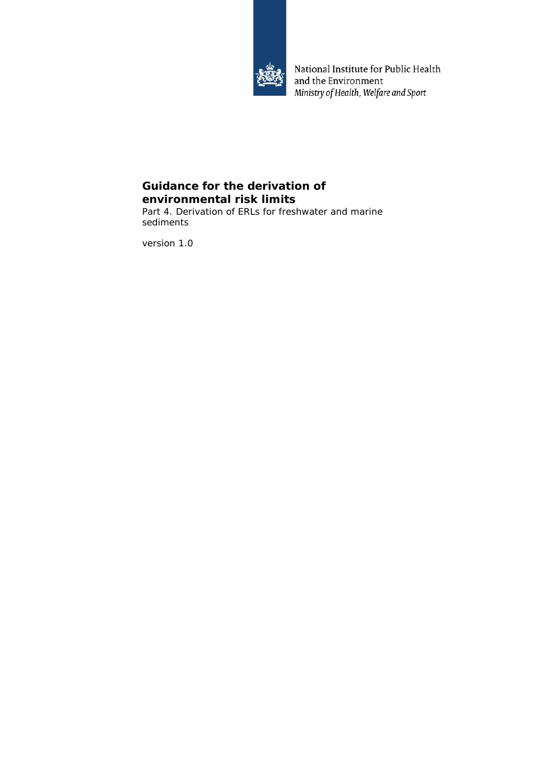

National Institute for Public Health and the Environment Ministry of Health, Welfare and Sport

# **Guidance for the derivation of environmental risk limits**

Part 4. Derivation of ERLs for freshwater and marine sediments

version 1.0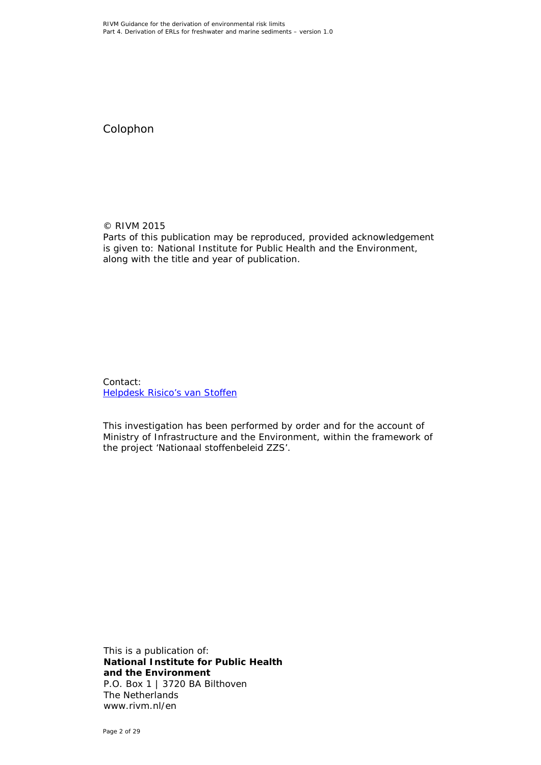Colophon

© RIVM 2015 Parts of this publication may be reproduced, provided acknowledgement is given to: National Institute for Public Health and the Environment, along with the title and year of publication.

Contact: [Helpdesk Risico's van Stoffen](https://rvs.rivm.nl/helpdesk/helpdesk-risicos-van-stoffen)

This investigation has been performed by order and for the account of Ministry of Infrastructure and the Environment, within the framework of the project 'Nationaal stoffenbeleid ZZS'.

This is a publication of: **National Institute for Public Health and the Environment** P.O. Box 1 | 3720 BA Bilthoven The Netherlands www.rivm.nl/en

Page 2 of 29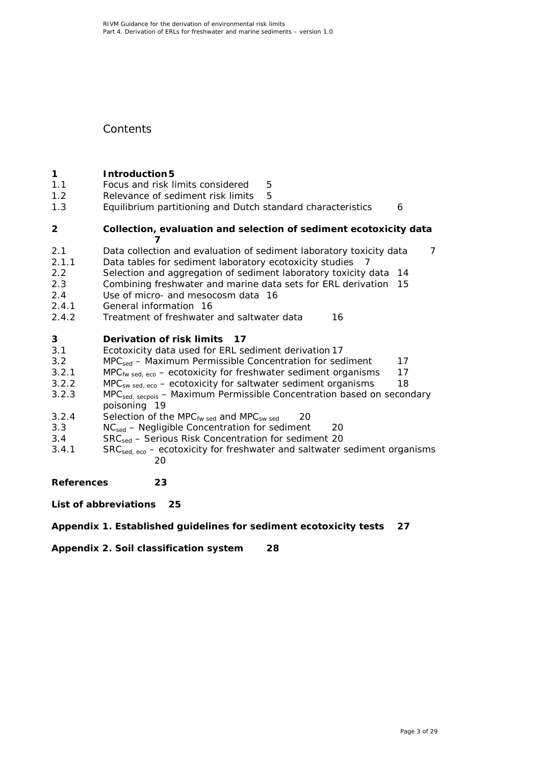# **Contents**

# **1 Introduction 5**<br>**1.1 Focus and risk li**

- [Focus and risk limits considered](#page-4-1) 5<br>Relevance of sediment risk limits 5
- 1.2 [Relevance of sediment risk limits](#page-4-2)
- 1.3 [Equilibrium partitioning and Dutch standard characteristics](#page-5-0) 6

## **2 [Collection, evaluation and selection of sediment ecotoxicity data](#page-6-0) [7](#page-6-0)**

- 2.1 [Data collection and evaluation of sediment laboratory toxicity data](#page-6-1) 7
- 
- 2.1.1 [Data tables for sediment laboratory ecotoxicity studies](#page-6-2) 7<br>2.2 Selection and aggregation of sediment laboratory toxicity
- 2.2 [Selection and aggregation of sediment laboratory toxicity data](#page-13-0) 14<br>2.3 Combining freshwater and marine data sets for ERL derivation 15 Combining freshwater and [marine data sets for ERL derivation](#page-14-0) 15
- 2.4 Use of micro- [and mesocosm data](#page-15-0) 16
- 2.4.1 [General information](#page-15-1) 16
- 2.4.2 [Treatment of freshwater and saltwater data](#page-15-2) 16

## **3 [Derivation of risk limits](#page-16-0) 17**

- 3.1 [Ecotoxicity data used for ERL sediment derivation](#page-16-1) 17
- 3.2 MPC<sub>sed</sub> [Maximum Permissible Concentration for sediment](#page-16-2) 17<br>3.2.1 MPC<sub>fw sed eco</sub> ecotoxicity for freshwater sediment organisms 17
- 3.2.1 MPC<sub>fw sed, eco</sub> [ecotoxicity for freshwater sediment organisms](#page-16-3)<br>3.2.2 MPC<sub>sw</sub> sed, eco ecotoxicity for saltwater sediment organisms
- 3.2.2 MPC<sub>sw sed, eco [ecotoxicity for saltwater sediment organisms](#page-17-0) 18<br>3.2.3 MPC<sub>sed secnois</sub> Maximum Permissible Concentration based on secon</sub>
- MPC<sub>sed, secpois</sub> Maximum Permissible Concentration based on secondary [poisoning](#page-18-0) 19
- 3.2.4 Selection of the MPC<sub>fw sed</sub> and MPC<sub>sw sed</sub> 20<br>3.3  $NC_{\text{sed}} \text{Neqligible Concentration for sediment}$
- NC<sub>sed</sub> [Negligible Concentration for sediment](#page-19-1) 20
- 3.4 SRC<sub>sed</sub> [Serious Risk Concentration for sediment](#page-19-2) 20<br>3.4.1 SRC<sub>sed ero</sub> ecotoxicity for freshwater and saltwater
- $SRC<sub>sed, eco</sub>$  [ecotoxicity for freshwater and saltwater sediment organisms](#page-19-3) [20](#page-19-3)

**[References](#page-22-0) 23**

**[List of abbreviations](#page-24-0) 25**

## **[Appendix 1. Established guidelines for sediment ecotoxicity tests](#page-26-0) 27**

**[Appendix 2. Soil classification system](#page-27-0) 28**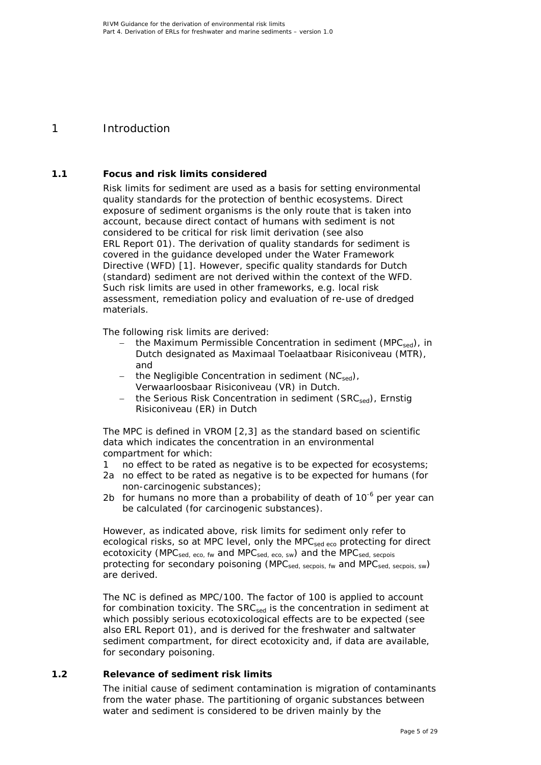# <span id="page-4-0"></span>1 Introduction

## **1.1 Focus and risk limits considered**

<span id="page-4-1"></span>Risk limits for sediment are used as a basis for setting environmental quality standards for the protection of benthic ecosystems. Direct exposure of sediment organisms is the only route that is taken into account, because direct contact of humans with sediment is not considered to be critical for risk limit derivation (see also ERL Report 01). The derivation of quality standards for sediment is covered in the guidance developed under the Water Framework Directive (WFD) [\[1\]](#page-22-1). However, specific quality standards for Dutch (standard) sediment are not derived within the context of the WFD. Such risk limits are used in other frameworks, e.g. local risk assessment, remediation policy and evaluation of re-use of dredged materials.

The following risk limits are derived:

- the Maximum Permissible Concentration in sediment (MPC<sub>sed</sub>), in Dutch designated as *Maximaal Toelaatbaar Risiconiveau (MTR)*, and
- the Negligible Concentration in sediment  $(NC_{\text{sed}})$ , *Verwaarloosbaar Risiconiveau (VR)* in Dutch.
- − the Serious Risk Concentration in sediment (SRCsed), *Ernstig Risiconiveau (ER)* in Dutch

The MPC is defined in VROM [\[2,](#page-22-2)[3\]](#page-22-3) as the standard based on scientific data which indicates the concentration in an environmental compartment for which:

- 1 no effect to be rated as negative is to be expected for ecosystems;
- 2a no effect to be rated as negative is to be expected for humans (for non-carcinogenic substances);
- 2b for humans no more than a probability of death of  $10^{-6}$  per year can be calculated (for carcinogenic substances).

However, as indicated above, risk limits for sediment only refer to ecological risks, so at MPC level, only the MPC<sub>sed eco</sub> protecting for direct ecotoxicity ( $MPC<sub>sed. ECO</sub>$ , fw and  $MPC<sub>sed. SWO</sub>$  and the  $MPC<sub>sed. SECDO</sub>$ protecting for secondary poisoning (MPC<sub>sed, secpois, fw</sub> and MPC<sub>sed, secpois, sw</sub>) are derived.

The NC is defined as MPC/100. The factor of 100 is applied to account for combination toxicity. The SRC<sub>sed</sub> is the concentration in sediment at which possibly serious ecotoxicological effects are to be expected (see also ERL Report 01), and is derived for the freshwater and saltwater sediment compartment, for direct ecotoxicity and, if data are available, for secondary poisoning.

## **1.2 Relevance of sediment risk limits**

<span id="page-4-2"></span>The initial cause of sediment contamination is migration of contaminants from the water phase. The partitioning of organic substances between water and sediment is considered to be driven mainly by the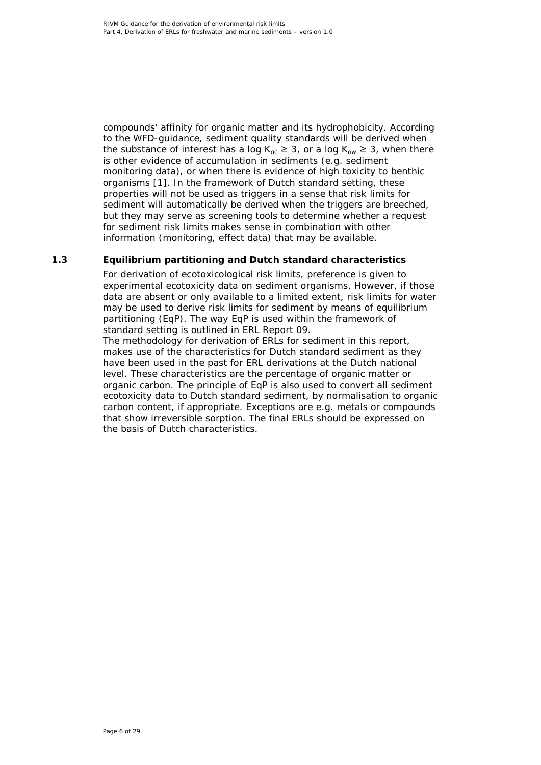compounds' affinity for organic matter and its hydrophobicity. According to the WFD-guidance, sediment quality standards will be derived when the substance of interest has a log  $K_{oc} \geq 3$ , or a log  $K_{ow} \geq 3$ , when there is other evidence of accumulation in sediments (e.g. sediment monitoring data), or when there is evidence of high toxicity to benthic organisms [\[1\]](#page-22-1). In the framework of Dutch standard setting, these properties will not be used as triggers in a sense that risk limits for sediment will automatically be derived when the triggers are breeched, but they may serve as screening tools to determine whether a request for sediment risk limits makes sense in combination with other information (monitoring, effect data) that may be available.

## **1.3 Equilibrium partitioning and Dutch standard characteristics**

<span id="page-5-0"></span>For derivation of ecotoxicological risk limits, preference is given to experimental ecotoxicity data on sediment organisms. However, if those data are absent or only available to a limited extent, risk limits for water may be used to derive risk limits for sediment by means of equilibrium partitioning (EqP). The way EqP is used within the framework of standard setting is outlined in ERL Report 09.

The methodology for derivation of ERLs for sediment in this report, makes use of the characteristics for Dutch standard sediment as they have been used in the past for ERL derivations at the Dutch national level. These characteristics are the percentage of organic matter or organic carbon. The principle of EqP is also used to convert all sediment ecotoxicity data to Dutch standard sediment, by normalisation to organic carbon content, if appropriate. Exceptions are e.g. metals or compounds that show irreversible sorption. The final ERLs should be expressed on the basis of Dutch characteristics.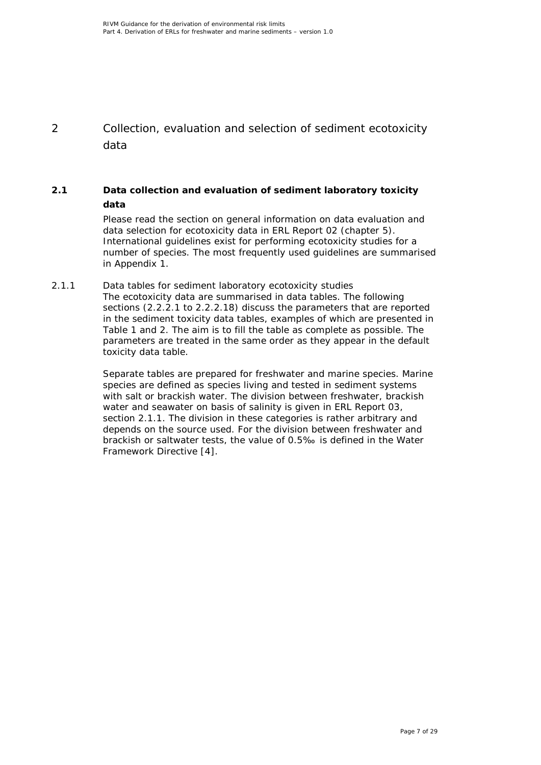<span id="page-6-0"></span>2 Collection, evaluation and selection of sediment ecotoxicity data

## **2.1 Data collection and evaluation of sediment laboratory toxicity data**

<span id="page-6-1"></span>Please read the section on general information on data evaluation and data selection for ecotoxicity data in ERL Report 02 (chapter 5). International guidelines exist for performing ecotoxicity studies for a number of species. The most frequently used guidelines are summarised in Appendix 1.

<span id="page-6-2"></span>*2.1.1 Data tables for sediment laboratory ecotoxicity studies* The ecotoxicity data are summarised in data tables. The following sections (2.2.2.1 to 2.2.2.18) discuss the parameters that are reported in the sediment toxicity data tables, examples of which are presented in Table 1 and 2. The aim is to fill the table as complete as possible. The parameters are treated in the same order as they appear in the default toxicity data table.

> Separate tables are prepared for freshwater and marine species. Marine species are defined as species living and tested in sediment systems with salt or brackish water. The division between freshwater, brackish water and seawater on basis of salinity is given in ERL Report 03, section 2.1.1. The division in these categories is rather arbitrary and depends on the source used. For the division between freshwater and brackish or saltwater tests, the value of 0.5‰ is defined in the Water Framework Directive [\[4\]](#page-22-4).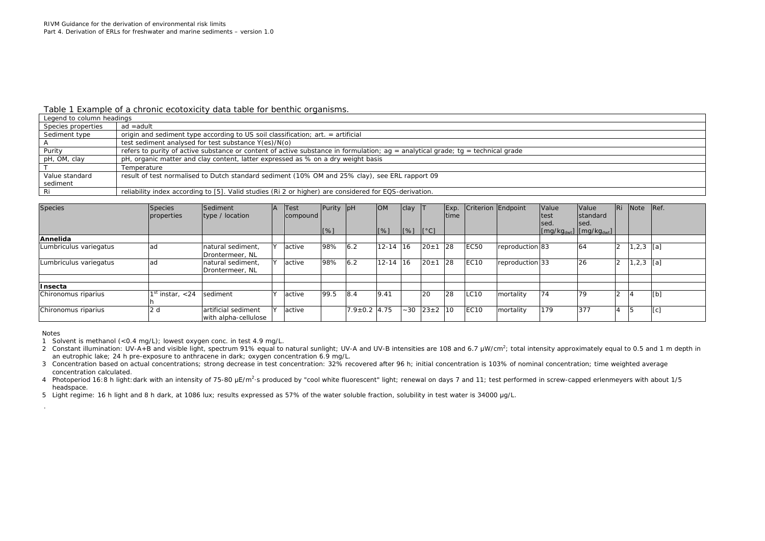#### *Table 1 Example of a chronic ecotoxicity data table for benthic organisms.*

| Legend to column headings |                                                                                                                                     |
|---------------------------|-------------------------------------------------------------------------------------------------------------------------------------|
| Species properties        | ad =adult                                                                                                                           |
| Sediment type             | origin and sediment type according to US soil classification; art. = artificial                                                     |
|                           | test sediment analysed for test substance Y(es)/N(o)                                                                                |
| Purity                    | refers to purity of active substance or content of active substance in formulation; $aq =$ analytical grade; $tq =$ technical grade |
| pH, OM, clay              | pH, organic matter and clay content, latter expressed as % on a dry weight basis                                                    |
|                           | Temperature                                                                                                                         |
| Value standard            | result of test normalised to Dutch standard sediment (10% OM and 25% clay), see ERL rapport 09                                      |
| sediment                  |                                                                                                                                     |
| Ri                        | reliability index according to [5]. Valid studies (Ri 2 or higher) are considered for EQS-derivation.                               |

| <b>Species</b>         | Species<br>properties | Sediment<br> type / location                | ΙA.           | Test<br>compound | Purity pH |                    | <b>OM</b>    | clay                                                                |            | Exp.<br> time |             | Criterion Endpoint | Value<br>test<br>sed. | <b>Value</b><br><b>Istandard</b><br>Ised.                             | l Ri | <b>Note</b>   | Ref. |
|------------------------|-----------------------|---------------------------------------------|---------------|------------------|-----------|--------------------|--------------|---------------------------------------------------------------------|------------|---------------|-------------|--------------------|-----------------------|-----------------------------------------------------------------------|------|---------------|------|
|                        |                       |                                             |               |                  | [%]       |                    | $[\%]$       | $\begin{bmatrix} 8 \end{bmatrix}$ $\begin{bmatrix} 0 \end{bmatrix}$ |            |               |             |                    |                       | $\left[\frac{mg}{kg_{dwt}}\right]$ $\left[\frac{mg}{kg_{dwt}}\right]$ |      |               |      |
| Annelida               |                       |                                             |               |                  |           |                    |              |                                                                     |            |               |             |                    |                       |                                                                       |      |               |      |
| Lumbriculus variegatus | ad                    | natural sediment,<br>Drontermeer, NL        | $\mathcal{L}$ | active           | 98%       | 6.2                | $12 - 14$ 16 |                                                                     | $20 \pm 1$ | 28            | <b>EC50</b> | reproduction 83    |                       | 64                                                                    |      | $1, 2, 3$ [a] |      |
| Lumbriculus variegatus | ad                    | natural sediment.<br>Drontermeer, NL        |               | active           | 98%       | 6.2                | $12 - 14$ 16 |                                                                     | $20 \pm 1$ | 28            | <b>EC10</b> | reproduction 33    |                       | 26                                                                    |      | , 2, 3        | [a]  |
| Insecta                |                       |                                             |               |                  |           |                    |              |                                                                     |            |               |             |                    |                       |                                                                       |      |               |      |
| Chironomus riparius    | $1st$ instar, $<$ 24  | sediment                                    | $\lambda$     | active           | 99.5      | 8.4                | 9.41         |                                                                     | 20         | 28            | LC10        | mortality          | 74                    | 79                                                                    |      | 14            | [t]  |
| Chironomus riparius    | 2d                    | artificial sediment<br>with alpha-cellulose | $\mathbf{v}$  | active           |           | $7.9 \pm 0.2$ 4.75 |              | $-30$                                                               | $23\pm2$   | 10            | <b>EC10</b> | mortality          | 179                   | 377                                                                   |      | 15            | [c]  |

Notes

1 Solvent is methanol (<0.4 mg/L); lowest oxygen conc. in test 4.9 mg/L.

2 Constant illumination: UV-A+B and visible light, spectrum 91% equal to natural sunlight; UV-A and UV-B intensities are 108 and 6.7 μW/cm<sup>2</sup>; total intensity approximately equal to 0.5 and 1 m depth in an eutrophic lake; 24 h pre-exposure to anthracene in dark; oxygen concentration 6.9 mg/L.

3 Concentration based on actual concentrations; strong decrease in test concentration: 32% recovered after 96 h; initial concentration is 103% of nominal concentration; time weighted average concentration calculated.

4 Photoperiod 16:8 h light:dark with an intensity of 75-80 μE/m<sup>2</sup> s produced by "cool white fluorescent" light; renewal on days 7 and 11; test performed in screw-capped erlenmeyers with about 1/5 headspace.

5 Light regime: 16 h light and 8 h dark, at 1086 lux; results expressed as 57% of the water soluble fraction, solubility in test water is 34000 μg/L.

.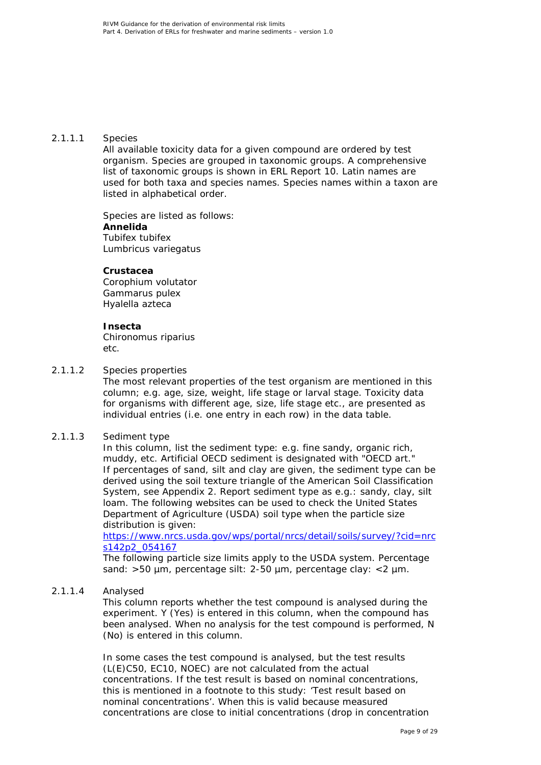#### 2.1.1.1 Species

All available toxicity data for a given compound are ordered by test organism. Species are grouped in taxonomic groups. A comprehensive list of taxonomic groups is shown in ERL Report 10. Latin names are used for both taxa and species names. Species names within a taxon are listed in alphabetical order.

Species are listed as follows: **Annelida** *Tubifex tubifex Lumbricus variegatus*

#### **Crustacea**

*Corophium volutator Gammarus pulex Hyalella azteca*

#### **Insecta**

*Chironomus riparius* etc.

#### 2.1.1.2 Species properties

The most relevant properties of the test organism are mentioned in this column; e.g. age, size, weight, life stage or larval stage. Toxicity data for organisms with different age, size, life stage etc., are presented as individual entries (i.e. one entry in each row) in the data table.

#### 2.1.1.3 Sediment type

In this column, list the sediment type: e.g. fine sandy, organic rich, muddy, etc. Artificial OECD sediment is designated with "OECD art." If percentages of sand, silt and clay are given, the sediment type can be derived using the soil texture triangle of the American Soil Classification System, see Appendix 2. Report sediment type as e.g.: sandy, clay, silt loam. The following websites can be used to check the United States Department of Agriculture (USDA) soil type when the particle size distribution is given:

[https://www.nrcs.usda.gov/wps/portal/nrcs/detail/soils/survey/?cid=nrc](https://www.nrcs.usda.gov/wps/portal/nrcs/detail/soils/survey/?cid=nrcs142p2_054167) [s142p2\\_054167](https://www.nrcs.usda.gov/wps/portal/nrcs/detail/soils/survey/?cid=nrcs142p2_054167)

The following particle size limits apply to the USDA system. Percentage sand: >50 µm, percentage silt: 2-50 µm, percentage clay: <2 µm.

#### 2.1.1.4 Analysed

This column reports whether the test compound is analysed during the experiment. Y (Yes) is entered in this column, when the compound has been analysed. When no analysis for the test compound is performed, N (No) is entered in this column.

In some cases the test compound is analysed, but the test results (L(E)C50, EC10, NOEC) are not calculated from the actual concentrations. If the test result is based on nominal concentrations, this is mentioned in a footnote to this study: 'Test result based on nominal concentrations'. When this is valid because measured concentrations are close to initial concentrations (drop in concentration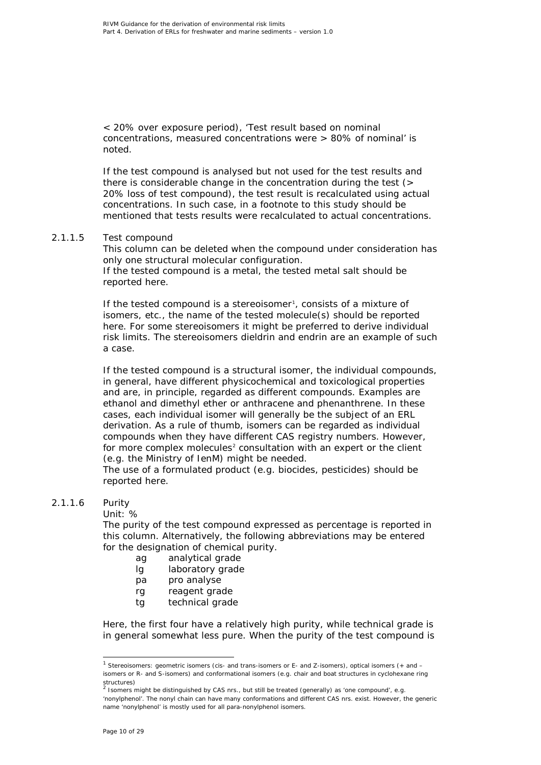< 20% over exposure period), 'Test result based on nominal concentrations, measured concentrations were > 80% of nominal' is noted.

If the test compound is analysed but not used for the test results and there is considerable change in the concentration during the test (> 20% loss of test compound), the test result is recalculated using actual concentrations. In such case, in a footnote to this study should be mentioned that tests results were recalculated to actual concentrations.

#### 2.1.1.5 Test compound

This column can be deleted when the compound under consideration has only one structural molecular configuration. If the tested compound is a metal, the tested metal salt should be reported here.

If the tested compound is a stereoisomer<sup>[1](#page-9-0)</sup>, consists of a mixture of isomers, etc., the name of the tested molecule(s) should be reported here. For some stereoisomers it might be preferred to derive individual risk limits. The stereoisomers dieldrin and endrin are an example of such a case.

If the tested compound is a structural isomer, the individual compounds, in general, have different physicochemical and toxicological properties and are, in principle, regarded as different compounds. Examples are ethanol and dimethyl ether or anthracene and phenanthrene. In these cases, each individual isomer will generally be the subject of an ERL derivation. As a rule of thumb, isomers can be regarded as individual compounds when they have different CAS registry numbers. However, for more complex molecules<sup>[2](#page-9-1)</sup> consultation with an expert or the client (e.g. the Ministry of IenM) might be needed.

The use of a formulated product (e.g. biocides, pesticides) should be reported here.

#### 2.1.1.6 Purity

#### Unit: %

The purity of the test compound expressed as percentage is reported in this column. Alternatively, the following abbreviations may be entered for the designation of chemical purity.

- ag analytical grade
- lg laboratory grade
- pa pro analyse
- rg reagent grade
- tg technical grade

Here, the first four have a relatively high purity, while technical grade is in general somewhat less pure. When the purity of the test compound is

<span id="page-9-0"></span> <sup>1</sup> Stereoisomers: geometric isomers (*cis*- and *trans*-isomers or E- and Z-isomers), optical isomers (+ and – isomers or R- and S-isomers) and conformational isomers (e.g. chair and boat structures in cyclohexane ring structures)<br><sup>2</sup> Isomers might be distinguished by CAS nrs., but still be treated (generally) as 'one compound', e.g.

<span id="page-9-1"></span><sup>&#</sup>x27;nonylphenol'. The nonyl chain can have many conformations and different CAS nrs. exist. However, the generic name 'nonylphenol' is mostly used for all para-nonylphenol isomers.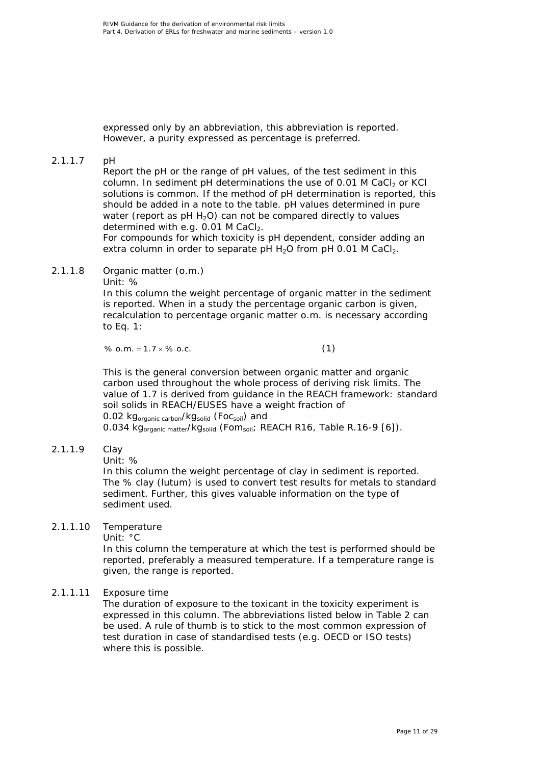expressed only by an abbreviation, this abbreviation is reported. However, a purity expressed as percentage is preferred.

## 2.1.1.7 pH

Report the pH or the range of pH values, of the test sediment in this column. In sediment pH determinations the use of 0.01 M CaCl<sub>2</sub> or KCl solutions is common. If the method of pH determination is reported, this should be added in a note to the table. pH values determined in pure water (report as  $pH H_2O$ ) can not be compared directly to values determined with e.g.  $0.01$  M CaCl<sub>2</sub>.

For compounds for which toxicity is pH dependent, consider adding an extra column in order to separate pH  $H_2O$  from pH 0.01 M CaCl<sub>2</sub>.

2.1.1.8 Organic matter (o.m.)

Unit: %

In this column the weight percentage of organic matter in the sediment is reported. When in a study the percentage organic carbon is given, recalculation to percentage organic matter o.m. is necessary according to Eq. 1:

% o.m. =  $1.7 \times$  % o.c. (1)

This is the general conversion between organic matter and organic carbon used throughout the whole process of deriving risk limits. The value of 1.7 is derived from guidance in the REACH framework: standard soil solids in REACH/EUSES have a weight fraction of 0.02 kg<sub>organic carbon</sub>/kg<sub>solid</sub> (Foc<sub>soil</sub>) and 0.034 kg<sub>organic matter</sub>/kg<sub>solid</sub> (Fom<sub>soil</sub>; REACH R16, Table R.16-9 [\[6\]](#page-22-6)).

#### 2.1.1.9 Clay

Unit: %

In this column the weight percentage of clay in sediment is reported. The % clay (lutum) is used to convert test results for metals to standard sediment. Further, this gives valuable information on the type of sediment used.

## 2.1.1.10 Temperature

Unit: °C

In this column the temperature at which the test is performed should be reported, preferably a measured temperature. If a temperature range is given, the range is reported.

#### 2.1.1.11 Exposure time

The duration of exposure to the toxicant in the toxicity experiment is expressed in this column. The abbreviations listed below in Table 2 can be used. A rule of thumb is to stick to the most common expression of test duration in case of standardised tests (e.g. OECD or ISO tests) where this is possible.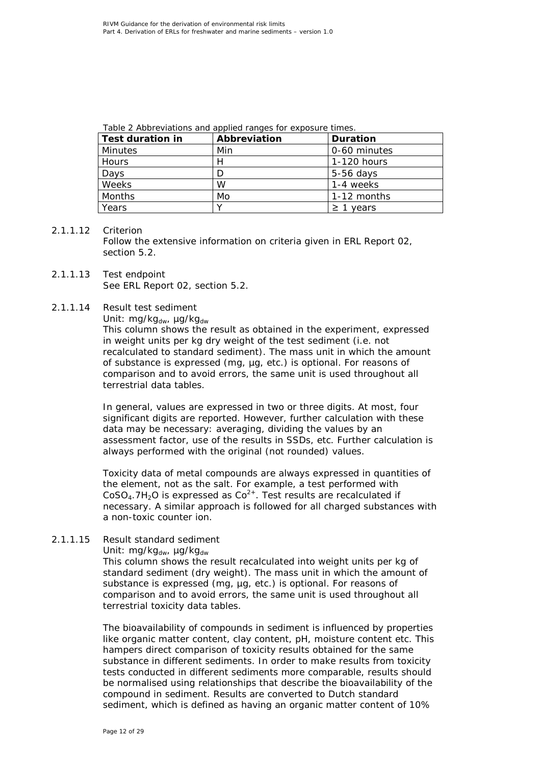| Test duration in | Abbreviation | <b>Duration</b> |
|------------------|--------------|-----------------|
| Minutes          | Min          | 0-60 minutes    |
| Hours            | H            | 1-120 hours     |
| Days             |              | $5-56$ days     |
| Weeks            | W            | 1-4 weeks       |
| Months           | Mo           | 1-12 months     |
| Years            |              | 1 vears         |

*Table 2 Abbreviations and applied ranges for exposure times.*

#### 2.1.1.12 Criterion

Follow the extensive information on criteria given in ERL Report 02, section 5.2.

2.1.1.13 Test endpoint See ERL Report 02, section 5.2.

#### 2.1.1.14 Result test sediment

Unit:  $mg/kg_{dw}$ ,  $\mu g/kg_{dw}$ 

This column shows the result as obtained in the experiment, expressed in weight units per kg dry weight of the test sediment (i.e. not recalculated to standard sediment). The mass unit in which the amount of substance is expressed (mg, µg, etc.) is optional. For reasons of comparison and to avoid errors, the same unit is used throughout all terrestrial data tables.

In general, values are expressed in two or three digits. At most, four significant digits are reported. However, further calculation with these data may be necessary: averaging, dividing the values by an assessment factor, use of the results in SSDs, etc. Further calculation is always performed with the original (not rounded) values.

Toxicity data of metal compounds are always expressed in quantities of the element, not as the salt. For example, a test performed with  $CoSO<sub>4</sub>$ .7H<sub>2</sub>O is expressed as  $Co<sup>2+</sup>$ . Test results are recalculated if necessary. A similar approach is followed for all charged substances with a non-toxic counter ion.

#### 2.1.1.15 Result standard sediment

Unit: mg/kg<sub>dw</sub>, µg/kg<sub>dw</sub>

This column shows the result recalculated into weight units per kg of standard sediment (dry weight). The mass unit in which the amount of substance is expressed (mg, ug, etc.) is optional. For reasons of comparison and to avoid errors, the same unit is used throughout all terrestrial toxicity data tables.

The bioavailability of compounds in sediment is influenced by properties like organic matter content, clay content, pH, moisture content etc. This hampers direct comparison of toxicity results obtained for the same substance in different sediments. In order to make results from toxicity tests conducted in different sediments more comparable, results should be normalised using relationships that describe the bioavailability of the compound in sediment. Results are converted to Dutch standard sediment, which is defined as having an organic matter content of 10%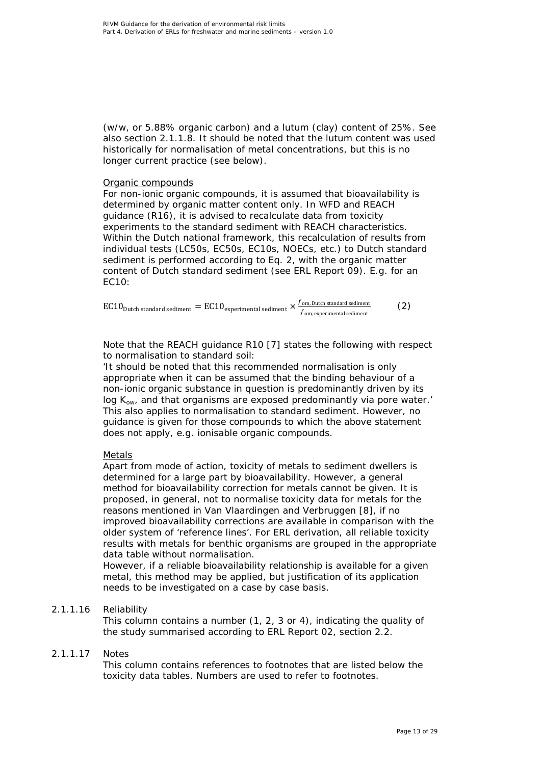(w/w, or 5.88% organic carbon) and a lutum (clay) content of 25%. See also section 2.1.1.8. It should be noted that the lutum content was used historically for normalisation of metal concentrations, but this is no longer current practice (see below).

#### Organic compounds

For non-ionic organic compounds, it is assumed that bioavailability is determined by organic matter content only. In WFD and REACH guidance (R16), it is advised to recalculate data from toxicity experiments to the standard sediment with REACH characteristics. Within the Dutch national framework, this recalculation of results from individual tests (LC50s, EC50s, EC10s, NOECs, etc.) to Dutch standard sediment is performed according to Eq. 2, with the organic matter content of Dutch standard sediment (see ERL Report 09). E.g. for an EC10:

| $EC10 Dutch$ standard sediment = $EC10experimental$ sediment $\times$ | $\zeta$ , $\zeta$ om, Dutch standard sediment<br>$f_{\rm\,om.}$ experimental sediment. |  |
|-----------------------------------------------------------------------|----------------------------------------------------------------------------------------|--|
|                                                                       |                                                                                        |  |

Note that the REACH guidance R10 [\[7\]](#page-22-7) states the following with respect to normalisation to standard soil:

'It should be noted that this recommended normalisation is only appropriate when it can be assumed that the binding behaviour of a non-ionic organic substance in question is predominantly driven by its log *K*ow, and that organisms are exposed predominantly via pore water.' This also applies to normalisation to standard sediment. However, no guidance is given for those compounds to which the above statement does not apply, e.g. ionisable organic compounds.

#### Metals

Apart from mode of action, toxicity of metals to sediment dwellers is determined for a large part by bioavailability. However, a general method for bioavailability correction for metals cannot be given. It is proposed, in general, not to normalise toxicity data for metals for the reasons mentioned in Van Vlaardingen and Verbruggen [\[8\]](#page-22-8), if no improved bioavailability corrections are available in comparison with the older system of 'reference lines'. For ERL derivation, all reliable toxicity results with metals for benthic organisms are grouped in the appropriate data table without normalisation.

However, if a reliable bioavailability relationship is available for a given metal, this method may be applied, but justification of its application needs to be investigated on a case by case basis.

#### 2.1.1.16 Reliability

This column contains a number (1, 2, 3 or 4), indicating the quality of the study summarised according to ERL Report 02, section 2.2.

#### 2.1.1.17 Notes

This column contains references to footnotes that are listed below the toxicity data tables. Numbers are used to refer to footnotes.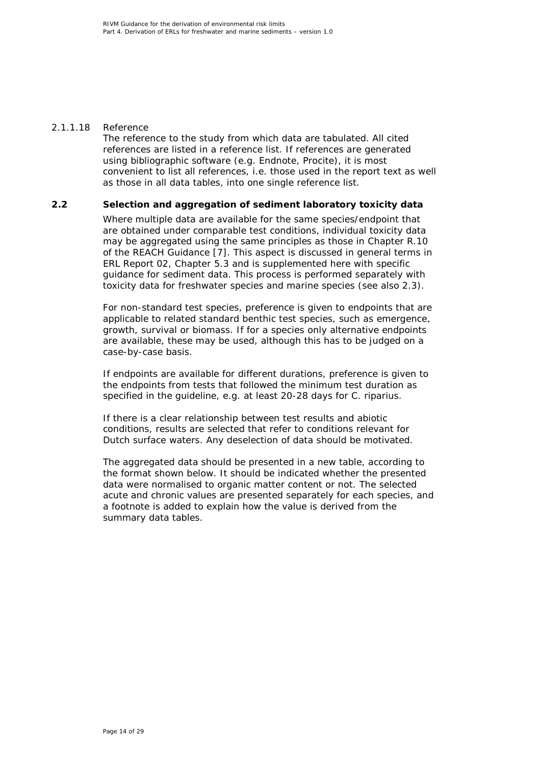#### 2.1.1.18 Reference

The reference to the study from which data are tabulated. All cited references are listed in a reference list. If references are generated using bibliographic software (e.g. Endnote, Procite), it is most convenient to list all references, i.e. those used in the report text as well as those in all data tables, into one single reference list.

#### **2.2 Selection and aggregation of sediment laboratory toxicity data**

<span id="page-13-0"></span>Where multiple data are available for the same species/endpoint that are obtained under comparable test conditions, individual toxicity data may be aggregated using the same principles as those in Chapter R.10 of the REACH Guidance [\[7\]](#page-22-7). This aspect is discussed in general terms in ERL Report 02, Chapter 5.3 and is supplemented here with specific guidance for sediment data. This process is performed separately with toxicity data for freshwater species and marine species (see also 2.3).

For non-standard test species, preference is given to endpoints that are applicable to related standard benthic test species, such as emergence, growth, survival or biomass. If for a species only alternative endpoints are available, these may be used, although this has to be judged on a case-by-case basis.

If endpoints are available for different durations, preference is given to the endpoints from tests that followed the minimum test duration as specified in the guideline, e.g. at least 20-28 days for *C. riparius*.

If there is a clear relationship between test results and abiotic conditions, results are selected that refer to conditions relevant for Dutch surface waters. Any deselection of data should be motivated.

The aggregated data should be presented in a new table, according to the format shown below. It should be indicated whether the presented data were normalised to organic matter content or not. The selected acute and chronic values are presented separately for each species, and a footnote is added to explain how the value is derived from the summary data tables.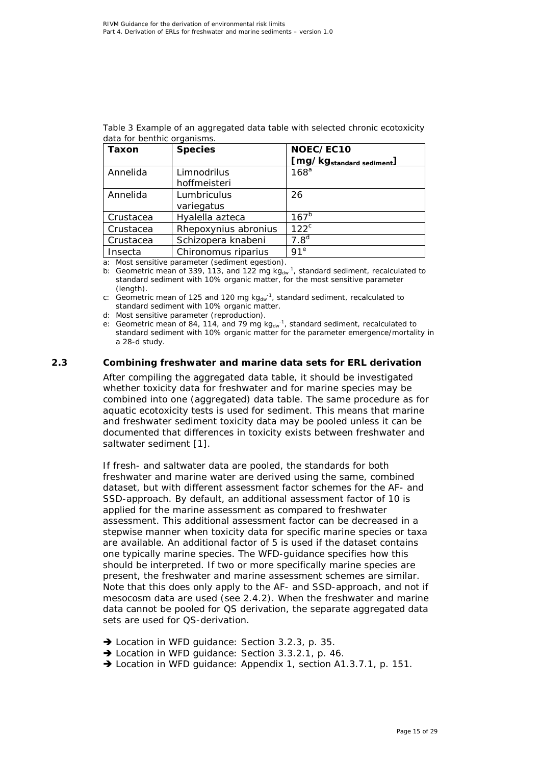| Taxon     | <b>Species</b>       | NOEC/EC10<br>[mg/kg <sub>standard sediment</sub> ] |
|-----------|----------------------|----------------------------------------------------|
| Annelida  | Limnodrilus          | 168 <sup>a</sup>                                   |
|           | hoffmeisteri         |                                                    |
| Annelida  | Lumbriculus          | 26                                                 |
|           | variegatus           |                                                    |
| Crustacea | Hyalella azteca      | 167 <sup>b</sup>                                   |
| Crustacea | Rhepoxynius abronius | $122^c$                                            |
| Crustacea | Schizopera knabeni   | 7.8 <sup>d</sup>                                   |
| Insecta   | Chironomus riparius  | 91 <sup>e</sup>                                    |

*Table 3 Example of an aggregated data table with selected chronic ecotoxicity data for benthic organisms.*

a: Most sensitive parameter (sediment egestion).

b: Geometric mean of 339, 113, and 122 mg  $kg_{dw}^{-1}$ , standard sediment, recalculated to standard sediment with 10% organic matter, for the most sensitive parameter (length).

c: Geometric mean of 125 and 120 mg  $kg_{dw}^{-1}$ , standard sediment, recalculated to standard sediment with 10% organic matter.

d: Most sensitive parameter (reproduction).

e: Geometric mean of 84, 114, and 79 mg  $kg_{dw}^{-1}$ , standard sediment, recalculated to standard sediment with 10% organic matter for the parameter emergence/mortality in a 28-d study.

#### **2.3 Combining freshwater and marine data sets for ERL derivation**

<span id="page-14-0"></span>After compiling the aggregated data table, it should be investigated whether toxicity data for freshwater and for marine species may be combined into one (aggregated) data table. The same procedure as for aquatic ecotoxicity tests is used for sediment. This means that marine and freshwater sediment toxicity data may be pooled unless it can be documented that differences in toxicity exists between freshwater and saltwater sediment [\[1\]](#page-22-1).

If fresh- and saltwater data are pooled, the standards for both freshwater and marine water are derived using the same, combined dataset, but with different assessment factor schemes for the AF- and SSD-approach. By default, an additional assessment factor of 10 is applied for the marine assessment as compared to freshwater assessment. This additional assessment factor can be decreased in a stepwise manner when toxicity data for specific marine species or taxa are available. An additional factor of 5 is used if the dataset contains one typically marine species. The WFD-guidance specifies how this should be interpreted. If two or more specifically marine species are present, the freshwater and marine assessment schemes are similar. Note that this does only apply to the AF- and SSD-approach, and not if mesocosm data are used (see 2.4.2). When the freshwater and marine data cannot be pooled for QS derivation, the separate aggregated data sets are used for QS-derivation.

- → Location in WFD quidance: Section 3.2.3, p. 35.
- → Location in WFD guidance: Section 3.3.2.1, p. 46.
- → Location in WFD quidance: Appendix 1, section A1.3.7.1, p. 151.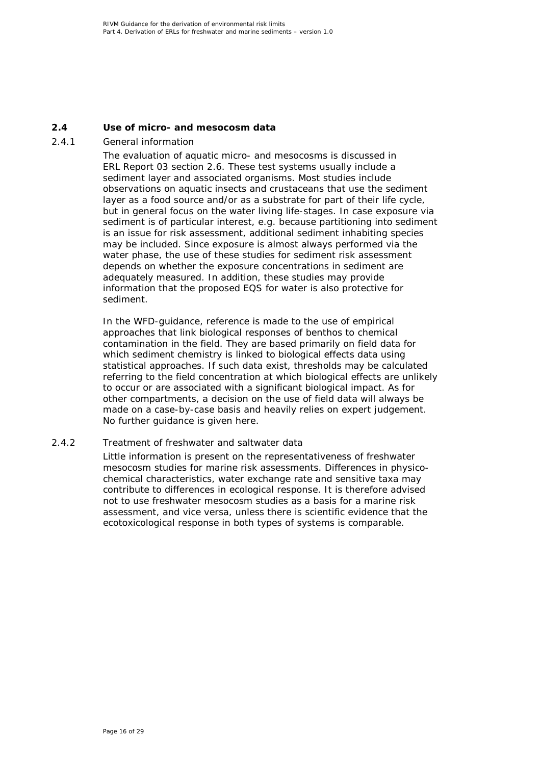#### **2.4 Use of micro- and mesocosm data**

#### *2.4.1 General information*

<span id="page-15-1"></span><span id="page-15-0"></span>The evaluation of aquatic micro- and mesocosms is discussed in ERL Report 03 section 2.6. These test systems usually include a sediment layer and associated organisms. Most studies include observations on aquatic insects and crustaceans that use the sediment layer as a food source and/or as a substrate for part of their life cycle, but in general focus on the water living life-stages. In case exposure via sediment is of particular interest, e.g. because partitioning into sediment is an issue for risk assessment, additional sediment inhabiting species may be included. Since exposure is almost always performed via the water phase, the use of these studies for sediment risk assessment depends on whether the exposure concentrations in sediment are adequately measured. In addition, these studies may provide information that the proposed EQS for water is also protective for sediment.

In the WFD-guidance, reference is made to the use of empirical approaches that link biological responses of benthos to chemical contamination in the field. They are based primarily on field data for which sediment chemistry is linked to biological effects data using statistical approaches. If such data exist, thresholds may be calculated referring to the field concentration at which biological effects are unlikely to occur or are associated with a significant biological impact. As for other compartments, a decision on the use of field data will always be made on a case-by-case basis and heavily relies on expert judgement. No further guidance is given here.

#### *2.4.2 Treatment of freshwater and saltwater data*

<span id="page-15-2"></span>Little information is present on the representativeness of freshwater mesocosm studies for marine risk assessments. Differences in physicochemical characteristics, water exchange rate and sensitive taxa may contribute to differences in ecological response. It is therefore advised not to use freshwater mesocosm studies as a basis for a marine risk assessment, and vice versa, unless there is scientific evidence that the ecotoxicological response in both types of systems is comparable.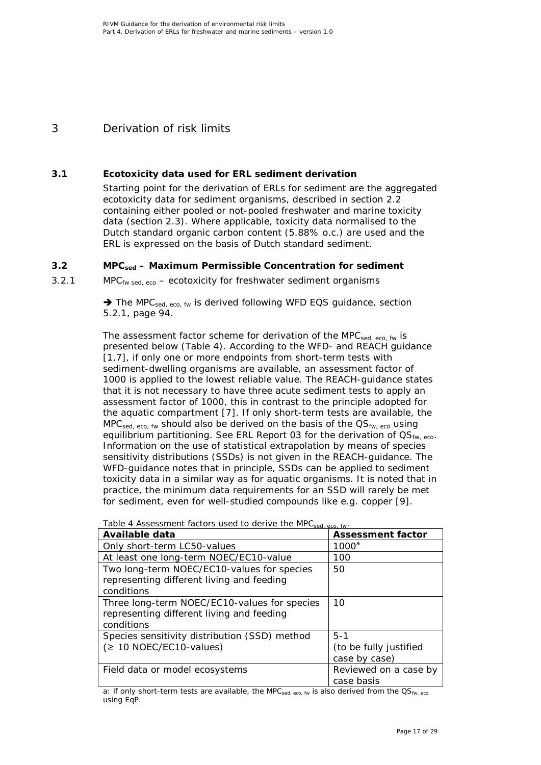# <span id="page-16-0"></span>3 Derivation of risk limits

## **3.1 Ecotoxicity data used for ERL sediment derivation**

<span id="page-16-1"></span>Starting point for the derivation of ERLs for sediment are the aggregated ecotoxicity data for sediment organisms, described in section 2.2 containing either pooled or not-pooled freshwater and marine toxicity data (section 2.3). Where applicable, toxicity data normalised to the Dutch standard organic carbon content (5.88% o.c.) are used and the ERL is expressed on the basis of Dutch standard sediment.

## **3.2 MPCsed – Maximum Permissible Concentration for sediment**

*3.2.1 MPCfw sed, eco – ecotoxicity for freshwater sediment organisms*

<span id="page-16-3"></span><span id="page-16-2"></span>→ The MPC<sub>sed, eco, fw</sub> is derived following WFD EQS guidance, section 5.2.1, page 94.

The assessment factor scheme for derivation of the MPC $_{\text{sed. eco. fw}}$  is presented below (Table 4). According to the WFD- and REACH guidance [\[1,](#page-22-1)[7\]](#page-22-7), if only one or more endpoints from short-term tests with sediment-dwelling organisms are available, an assessment factor of 1000 is applied to the lowest reliable value. The REACH-guidance states that it is not necessary to have three acute sediment tests to apply an assessment factor of 1000, this in contrast to the principle adopted for the aquatic compartment [\[7\]](#page-22-7). If only short-term tests are available, the  $MPC<sub>sed. ECO. fw</sub>$  should also be derived on the basis of the  $QS<sub>fw. eco</sub>$  using equilibrium partitioning. See ERL Report 03 for the derivation of  $OS_{fw, eco}$ . Information on the use of statistical extrapolation by means of species sensitivity distributions (SSDs) is not given in the REACH-guidance. The WFD-guidance notes that in principle, SSDs can be applied to sediment toxicity data in a similar way as for aquatic organisms. It is noted that in practice, the minimum data requirements for an SSD will rarely be met for sediment, even for well-studied compounds like e.g. copper [\[9\]](#page-22-9).

| $\ldots$ $\ldots$ $\ldots$ $\ldots$ $\ldots$<br>Available data                                          | <b>Assessment factor</b>                           |
|---------------------------------------------------------------------------------------------------------|----------------------------------------------------|
| Only short-term LC50-values                                                                             | $1000^a$                                           |
| At least one long-term NOEC/EC10-value                                                                  | 100                                                |
| Two long-term NOEC/EC10-values for species<br>representing different living and feeding<br>conditions   | 50                                                 |
| Three long-term NOEC/EC10-values for species<br>representing different living and feeding<br>conditions | 10                                                 |
| Species sensitivity distribution (SSD) method<br>$( \geq 10 \text{ NOEC/EC10-values} )$                 | $5 - 1$<br>(to be fully justified<br>case by case) |
| Field data or model ecosystems                                                                          | Reviewed on a case by<br>case basis                |

*Table 4 Assessment factors used to derive the MPCsed, eco, fw.*

a: if only short-term tests are available, the MPC $_{\text{sed. eco. fw}}$  is also derived from the QS<sub>fw, eco</sub> using EqP.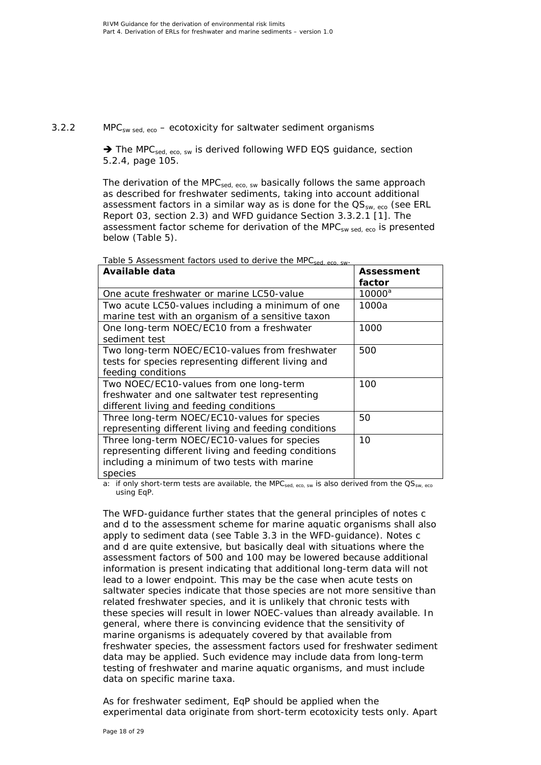#### *3.2.2 MPCsw sed, eco – ecotoxicity for saltwater sediment organisms*

<span id="page-17-0"></span> $\rightarrow$  The MPC<sub>sed, eco, sw</sub> is derived following WFD EQS guidance, section 5.2.4, page 105.

The derivation of the MPC<sub>sed, eco, sw</sub> basically follows the same approach as described for freshwater sediments, taking into account additional assessment factors in a similar way as is done for the  $\text{QS}_{sw, \text{eco}}$  (see ERL Report 03, section 2.3) and WFD guidance Section 3.3.2.1 [\[1\]](#page-22-1). The assessment factor scheme for derivation of the MPC $_{sw}$  sed, eco is presented below (Table 5).

| Available data                                       | <b>Assessment</b> |
|------------------------------------------------------|-------------------|
|                                                      | factor            |
| One acute freshwater or marine LC50-value            | $10000^a$         |
| Two acute LC50-values including a minimum of one     | 1000a             |
| marine test with an organism of a sensitive taxon    |                   |
| One long-term NOEC/EC10 from a freshwater            | 1000              |
| sediment test                                        |                   |
| Two long-term NOEC/EC10-values from freshwater       | 500               |
| tests for species representing different living and  |                   |
| feeding conditions                                   |                   |
| Two NOEC/EC10-values from one long-term              | 100               |
| freshwater and one saltwater test representing       |                   |
| different living and feeding conditions              |                   |
| Three long-term NOEC/EC10-values for species         | 50                |
| representing different living and feeding conditions |                   |
| Three long-term NOEC/EC10-values for species         | 10                |
| representing different living and feeding conditions |                   |
| including a minimum of two tests with marine         |                   |
| species                                              |                   |

*Table 5 Assessment factors used to derive the MPCsed, eco, sw.*

a: if only short-term tests are available, the MPC $_{sed, eco, sw}$  is also derived from the  $\text{QS}_{sw, eco}$ using EqP.

The WFD-guidance further states that the general principles of notes c and d to the assessment scheme for marine aquatic organisms shall also apply to sediment data (see Table 3.3 in the WFD-guidance). Notes c and d are quite extensive, but basically deal with situations where the assessment factors of 500 and 100 may be lowered because additional information is present indicating that additional long-term data will not lead to a lower endpoint. This may be the case when acute tests on saltwater species indicate that those species are not more sensitive than related freshwater species, and it is unlikely that chronic tests with these species will result in lower NOEC-values than already available. In general, where there is convincing evidence that the sensitivity of marine organisms is adequately covered by that available from freshwater species, the assessment factors used for freshwater sediment data may be applied. Such evidence may include data from long-term testing of freshwater and marine aquatic organisms, and must include data on specific marine taxa.

As for freshwater sediment, EqP should be applied when the experimental data originate from short-term ecotoxicity tests only. Apart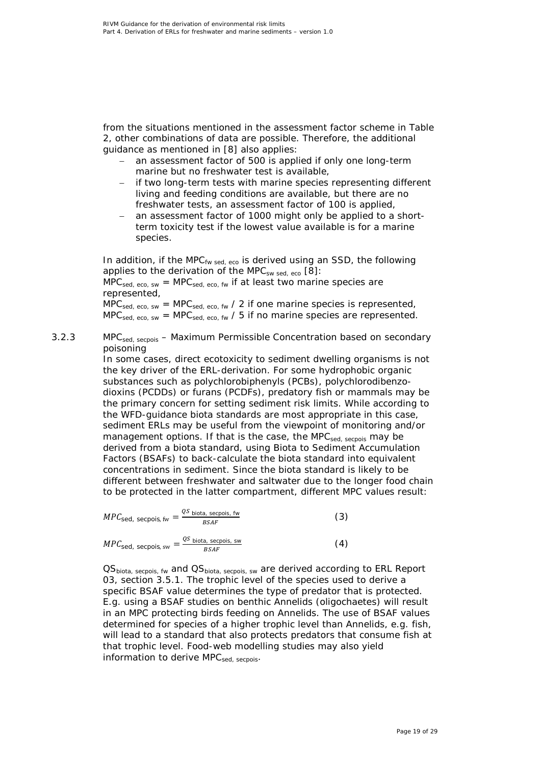from the situations mentioned in the assessment factor scheme in Table 2, other combinations of data are possible. Therefore, the additional guidance as mentioned in [\[8\]](#page-22-8) also applies:

- an assessment factor of 500 is applied if only one long-term marine but no freshwater test is available,
- if two long-term tests with marine species representing different living and feeding conditions are available, but there are no freshwater tests, an assessment factor of 100 is applied,
- an assessment factor of 1000 might only be applied to a shortterm toxicity test if the lowest value available is for a marine species.

In addition, if the MPC<sub>fw sed, eco</sub> is derived using an SSD, the following applies to the derivation of the MPC<sub>sw sed, eco</sub> [\[8\]](#page-22-8):

 $MPC<sub>sed, eco, sw</sub> = MPC<sub>sed, eco, fw</sub>$  if at least two marine species are represented,

 $MPC<sub>sed, eco, sw</sub> = MPC<sub>sed, eco, fw</sub> / 2 if one marine species is represented,$  $MPC<sub>sed, eco, sw</sub> = MPC<sub>sed, eco, fw</sub> / 5 if no marine species are represented.$ 

*3.2.3 MPCsed, secpois – Maximum Permissible Concentration based on secondary poisoning*

<span id="page-18-0"></span>In some cases, direct ecotoxicity to sediment dwelling organisms is not the key driver of the ERL-derivation. For some hydrophobic organic substances such as polychlorobiphenyls (PCBs), polychlorodibenzodioxins (PCDDs) or furans (PCDFs), predatory fish or mammals may be the primary concern for setting sediment risk limits. While according to the WFD-guidance biota standards are most appropriate in this case, sediment ERLs may be useful from the viewpoint of monitoring and/or management options. If that is the case, the MPC<sub>sed, secpois</sub> may be derived from a biota standard, using Biota to Sediment Accumulation Factors (BSAFs) to back-calculate the biota standard into equivalent concentrations in sediment. Since the biota standard is likely to be different between freshwater and saltwater due to the longer food chain to be protected in the latter compartment, different MPC values result:

$$
MPC_{\text{sed, secpois, fw}} = \frac{qs_{\text{ biota, secpois, fw}}}{BSAF}
$$
 (3)

$$
MPC_{\text{sed, secpois, sw}} = \frac{qs_{\text{ biota, secpois, sw}}}{BSAF}
$$
 (4)

OS<sub>biota, secpois, fw</sub> and OS<sub>biota, secpois, sw</sub> are derived according to ERL Report 03, section 3.5.1. The trophic level of the species used to derive a specific BSAF value determines the type of predator that is protected. E.g. using a BSAF studies on benthic Annelids (oligochaetes) will result in an MPC protecting birds feeding on Annelids. The use of BSAF values determined for species of a higher trophic level than Annelids, e.g. fish, will lead to a standard that also protects predators that consume fish at that trophic level. Food-web modelling studies may also yield information to derive  $MPC_{sed,~serpois}$ .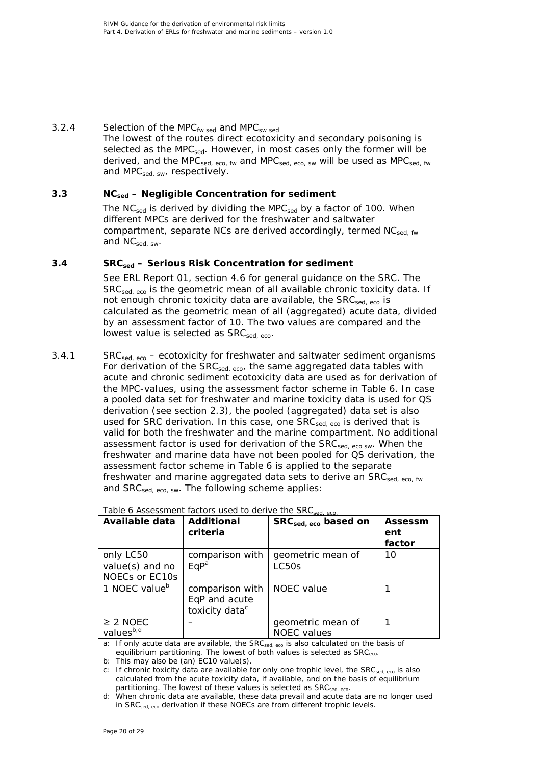## *3.2.4 Selection of the MPCfw sed and MPCsw sed*

<span id="page-19-0"></span>The lowest of the routes direct ecotoxicity and secondary poisoning is selected as the MPC<sub>sed</sub>. However, in most cases only the former will be derived, and the MPC $_{\text{sed, eco, fw}}$  and MPC $_{\text{sed, eco}}$  sw will be used as MPC $_{\text{sed, fw}}$ and MPC $_{sed, sw}$ , respectively.

## **3.3 NCsed – Negligible Concentration for sediment**

<span id="page-19-1"></span>The NC<sub>sed</sub> is derived by dividing the MPC<sub>sed</sub> by a factor of 100. When different MPCs are derived for the freshwater and saltwater compartment, separate NCs are derived accordingly, termed  $NC_{\text{sed. fw}}$ and  $NC_{sed, sw}$ .

## **3.4 SRCsed – Serious Risk Concentration for sediment**

<span id="page-19-2"></span>See ERL Report 01, section 4.6 for general guidance on the SRC. The SRC<sub>sed, eco</sub> is the geometric mean of all available chronic toxicity data. If not enough chronic toxicity data are available, the  $SRC<sub>sed-ero</sub>$  is calculated as the geometric mean of all (aggregated) acute data, divided by an assessment factor of 10. The two values are compared and the lowest value is selected as  $SRC<sub>sed-eco</sub>$ .

<span id="page-19-3"></span>*3.4.1 SRCsed, eco – ecotoxicity for freshwater and saltwater sediment organisms* For derivation of the  $SRC_{\text{sed. eco}}$ , the same aggregated data tables with acute and chronic sediment ecotoxicity data are used as for derivation of the MPC-values, using the assessment factor scheme in Table 6. In case a pooled data set for freshwater and marine toxicity data is used for QS derivation (see section 2.3), the pooled (aggregated) data set is also used for SRC derivation. In this case, one  $SRC_{sed,eco}$  is derived that is valid for both the freshwater and the marine compartment. No additional assessment factor is used for derivation of the SRC<sub>sed, eco sw</sub>. When the freshwater and marine data have not been pooled for QS derivation, the assessment factor scheme in Table 6 is applied to the separate freshwater and marine aggregated data sets to derive an  $SRC_{sed,eco, fw}$ and SRC<sub>sed, eco, sw</sub>. The following scheme applies:

| Available data                                 | Additional<br>criteria                                         | $SRCsed, eco$ based on                  | Assessm<br>ent<br>factor |
|------------------------------------------------|----------------------------------------------------------------|-----------------------------------------|--------------------------|
| only LC50<br>value(s) and no<br>NOECs or EC10s | comparison with<br>EqP <sup>a</sup>                            | geometric mean of<br>LC50s              | 10                       |
| 1 NOEC value <sup>b</sup>                      | comparison with<br>EqP and acute<br>toxicity data <sup>c</sup> | NOEC value                              |                          |
| $\geq$ 2 NOEC<br>valuesb,d                     |                                                                | geometric mean of<br><b>NOEC</b> values |                          |

*Table 6 Assessment factors used to derive the SRCsed, eco.*

a: If only acute data are available, the SRC<sub>sed, eco</sub> is also calculated on the basis of equilibrium partitioning. The lowest of both values is selected as SRC<sub>eco</sub>.

b: This may also be (an) EC10 value(s).

c: If chronic toxicity data are available for only one trophic level, the SRCsed, eco is also calculated from the acute toxicity data, if available, and on the basis of equilibrium partitioning. The lowest of these values is selected as SRC<sub>sed, eco</sub>.

d: When chronic data are available, these data prevail and acute data are no longer used in SRC<sub>sed, eco</sub> derivation if these NOECs are from different trophic levels.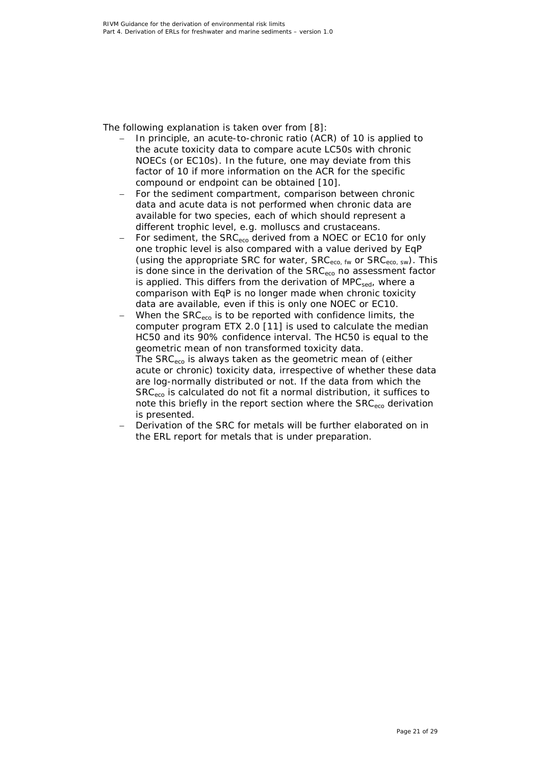The following explanation is taken over from [\[8\]](#page-22-8):

- In principle, an acute-to-chronic ratio (ACR) of 10 is applied to the acute toxicity data to compare acute LC50s with chronic NOECs (or EC10s). In the future, one may deviate from this factor of 10 if more information on the ACR for the specific compound or endpoint can be obtained [\[10\]](#page-22-10).
- For the sediment compartment, comparison between chronic data and acute data is not performed when chronic data are available for two species, each of which should represent a different trophic level, e.g. molluscs and crustaceans.
- For sediment, the SRC<sub>eco</sub> derived from a NOEC or EC10 for only one trophic level is also compared with a value derived by EqP (using the appropriate SRC for water,  $SRC_{eco, fw}$  or  $SRC_{eco, sw}$ ). This is done since in the derivation of the SRC<sub>eco</sub> no assessment factor is applied. This differs from the derivation of  $MPC_{\text{sed}}$ , where a comparison with EqP is no longer made when chronic toxicity data are available, even if this is only one NOEC or EC10.
- When the  $SRC_{\text{eco}}$  is to be reported with confidence limits, the computer program ETX 2.0 [\[11\]](#page-22-11) is used to calculate the median HC50 and its 90% confidence interval. The HC50 is equal to the geometric mean of non transformed toxicity data. The SRC<sub>eco</sub> is always taken as the geometric mean of (either acute or chronic) toxicity data, irrespective of whether these data are log-normally distributed or not. If the data from which the SRC<sub>eco</sub> is calculated do not fit a normal distribution, it suffices to note this briefly in the report section where the SRC<sub>eco</sub> derivation is presented.
- Derivation of the SRC for metals will be further elaborated on in the ERL report for metals that is under preparation.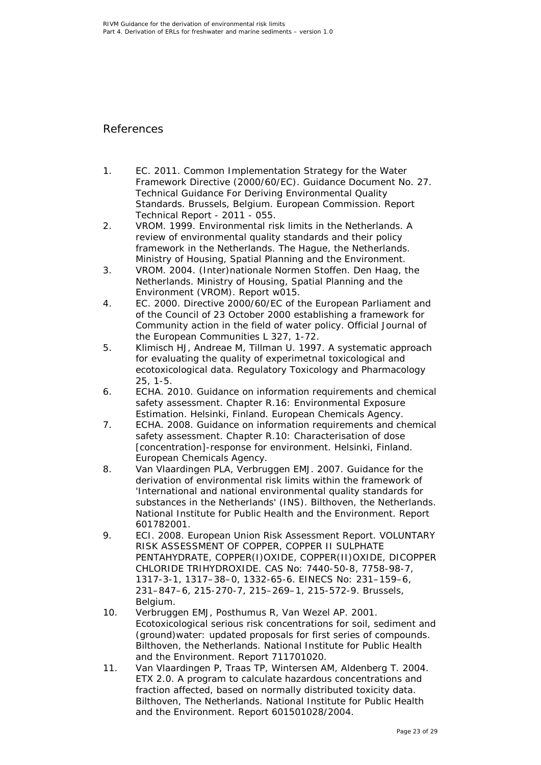## <span id="page-22-5"></span><span id="page-22-0"></span>References

- <span id="page-22-1"></span>1. EC. 2011. Common Implementation Strategy for the Water Framework Directive (2000/60/EC). Guidance Document No. 27. Technical Guidance For Deriving Environmental Quality Standards. Brussels, Belgium. European Commission. Report Technical Report - 2011 - 055.
- <span id="page-22-2"></span>2. VROM. 1999. Environmental risk limits in the Netherlands. A review of environmental quality standards and their policy framework in the Netherlands. The Hague, the Netherlands. Ministry of Housing, Spatial Planning and the Environment.
- <span id="page-22-3"></span>3. VROM. 2004. (Inter)nationale Normen Stoffen. Den Haag, the Netherlands. Ministry of Housing, Spatial Planning and the Environment (VROM). Report w015.
- <span id="page-22-4"></span>4. EC. 2000. Directive 2000/60/EC of the European Parliament and of the Council of 23 October 2000 establishing a framework for Community action in the field of water policy. Official Journal of the European Communities L 327, 1-72.
- 5. Klimisch HJ, Andreae M, Tillman U. 1997. A systematic approach for evaluating the quality of experimetnal toxicological and ecotoxicological data. Regulatory Toxicology and Pharmacology 25, 1-5.
- <span id="page-22-6"></span>6. ECHA. 2010. Guidance on information requirements and chemical safety assessment. Chapter R.16: Environmental Exposure Estimation. Helsinki, Finland. European Chemicals Agency.
- <span id="page-22-7"></span>7. ECHA. 2008. Guidance on information requirements and chemical safety assessment. Chapter R.10: Characterisation of dose [concentration]-response for environment. Helsinki, Finland. European Chemicals Agency.
- <span id="page-22-8"></span>8. Van Vlaardingen PLA, Verbruggen EMJ. 2007. Guidance for the derivation of environmental risk limits within the framework of 'International and national environmental quality standards for substances in the Netherlands' (INS). Bilthoven, the Netherlands. National Institute for Public Health and the Environment. Report 601782001.
- <span id="page-22-9"></span>9. ECI. 2008. European Union Risk Assessment Report. VOLUNTARY RISK ASSESSMENT OF COPPER, COPPER II SULPHATE PENTAHYDRATE, COPPER(I)OXIDE, COPPER(II)OXIDE, DICOPPER CHLORIDE TRIHYDROXIDE. CAS No: 7440-50-8, 7758-98-7, 1317-3-1, 1317–38–0, 1332-65-6. EINECS No: 231–159–6, 231–847–6, 215-270-7, 215–269–1, 215-572-9. Brussels, Belgium.
- <span id="page-22-10"></span>10. Verbruggen EMJ, Posthumus R, Van Wezel AP. 2001. Ecotoxicological serious risk concentrations for soil, sediment and (ground)water: updated proposals for first series of compounds. Bilthoven, the Netherlands. National Institute for Public Health and the Environment. Report 711701020.
- <span id="page-22-11"></span>11. Van Vlaardingen P, Traas TP, Wintersen AM, Aldenberg T. 2004. ETX 2.0. A program to calculate hazardous concentrations and fraction affected, based on normally distributed toxicity data. Bilthoven, The Netherlands. National Institute for Public Health and the Environment. Report 601501028/2004.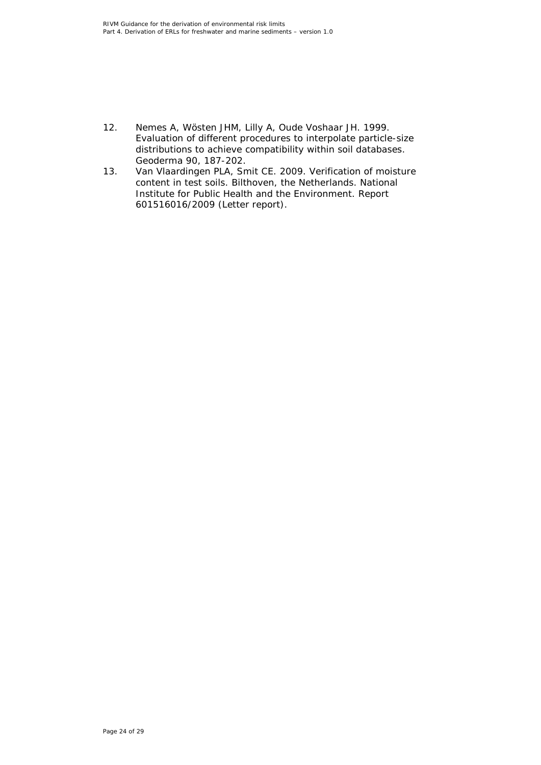- <span id="page-23-0"></span>12. Nemes A, Wösten JHM, Lilly A, Oude Voshaar JH. 1999. Evaluation of different procedures to interpolate particle-size distributions to achieve compatibility within soil databases. Geoderma 90, 187-202.
- <span id="page-23-1"></span>13. Van Vlaardingen PLA, Smit CE. 2009. Verification of moisture content in test soils. Bilthoven, the Netherlands. National Institute for Public Health and the Environment. Report 601516016/2009 (Letter report).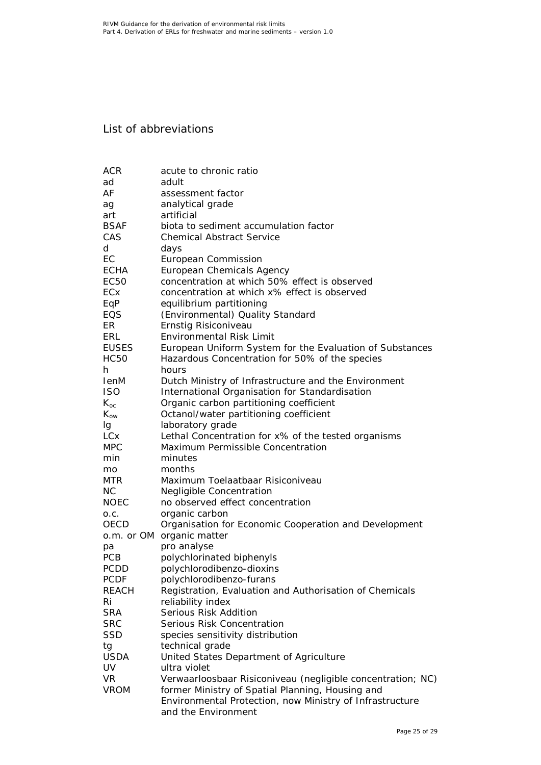# <span id="page-24-0"></span>List of abbreviations

| <b>ACR</b>                | acute to chronic ratio                                                       |
|---------------------------|------------------------------------------------------------------------------|
| ad                        | adult                                                                        |
| AF                        | assessment factor                                                            |
| ag                        | analytical grade                                                             |
| art                       | artificial                                                                   |
| <b>BSAF</b>               | biota to sediment accumulation factor                                        |
| CAS                       | <b>Chemical Abstract Service</b>                                             |
| d                         | days                                                                         |
| EC                        | European Commission                                                          |
| <b>ECHA</b>               | European Chemicals Agency                                                    |
| <b>EC50</b>               | concentration at which 50% effect is observed                                |
| ECx                       | concentration at which x% effect is observed                                 |
| EqP                       | equilibrium partitioning                                                     |
| EQS                       | (Environmental) Quality Standard                                             |
| ER.                       | Ernstig Risiconiveau                                                         |
| ERL                       | <b>Environmental Risk Limit</b>                                              |
| <b>EUSES</b>              | European Uniform System for the Evaluation of Substances                     |
| <b>HC50</b>               | Hazardous Concentration for 50% of the species                               |
| h.                        | hours                                                                        |
| <b>IenM</b>               | Dutch Ministry of Infrastructure and the Environment                         |
| <b>ISO</b>                | International Organisation for Standardisation                               |
| $K_{oc}$                  | Organic carbon partitioning coefficient                                      |
| $K_{ow}$                  | Octanol/water partitioning coefficient                                       |
| Ig                        | laboratory grade                                                             |
| <b>LCx</b>                | Lethal Concentration for x% of the tested organisms                          |
| <b>MPC</b>                | Maximum Permissible Concentration                                            |
| min                       | minutes                                                                      |
| mo                        | months                                                                       |
| <b>MTR</b>                | Maximum Toelaatbaar Risiconiveau                                             |
| <b>NC</b>                 | <b>Negligible Concentration</b>                                              |
| <b>NOEC</b>               | no observed effect concentration                                             |
| O.C.                      | organic carbon                                                               |
| OECD                      | Organisation for Economic Cooperation and Development                        |
|                           | o.m. or OM organic matter                                                    |
|                           |                                                                              |
| pа                        | pro analyse                                                                  |
| <b>PCB</b><br><b>PCDD</b> | polychlorinated biphenyls                                                    |
| <b>PCDF</b>               | polychlorodibenzo-dioxins                                                    |
| <b>REACH</b>              | polychlorodibenzo-furans                                                     |
| Ri                        | Registration, Evaluation and Authorisation of Chemicals<br>reliability index |
|                           | Serious Risk Addition                                                        |
| <b>SRA</b><br><b>SRC</b>  | Serious Risk Concentration                                                   |
|                           |                                                                              |
| <b>SSD</b>                | species sensitivity distribution                                             |
| tg                        | technical grade                                                              |
| <b>USDA</b>               | United States Department of Agriculture                                      |
| UV                        | ultra violet                                                                 |
| <b>VR</b><br><b>VROM</b>  | Verwaarloosbaar Risiconiveau (negligible concentration; NC)                  |
|                           | former Ministry of Spatial Planning, Housing and                             |
|                           | Environmental Protection, now Ministry of Infrastructure                     |
|                           | and the Environment                                                          |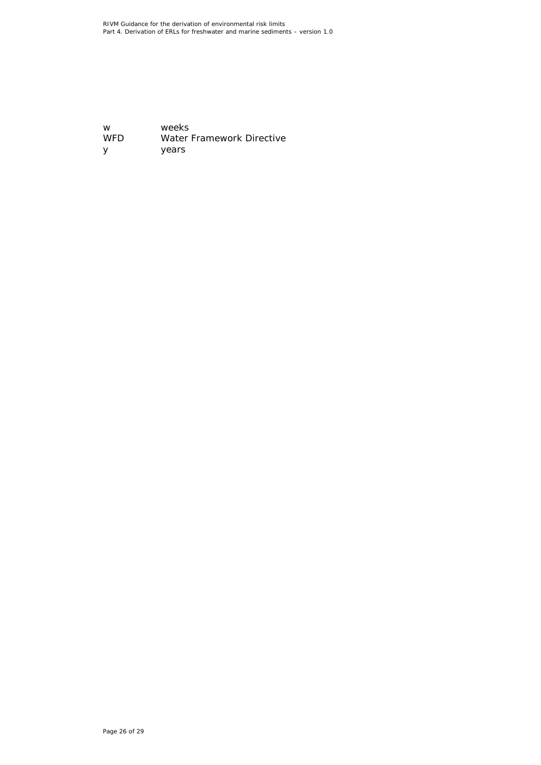w weeks<br>WFD Water Water Framework Directive y years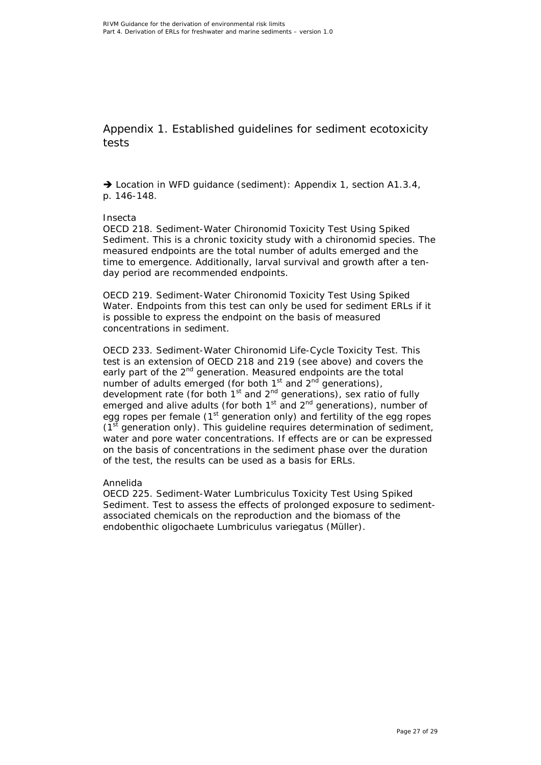<span id="page-26-0"></span>Appendix 1. Established guidelines for sediment ecotoxicity tests

→ Location in WFD guidance (sediment): Appendix 1, section A1.3.4, p. 146-148.

#### *Insecta*

OECD 218. Sediment-Water Chironomid Toxicity Test Using Spiked Sediment. This is a chronic toxicity study with a chironomid species. The measured endpoints are the total number of adults emerged and the time to emergence. Additionally, larval survival and growth after a tenday period are recommended endpoints.

OECD 219. Sediment-Water Chironomid Toxicity Test Using Spiked Water. Endpoints from this test can only be used for sediment ERLs if it is possible to express the endpoint on the basis of measured concentrations in sediment.

OECD 233. Sediment-Water Chironomid Life-Cycle Toxicity Test. This test is an extension of OECD 218 and 219 (see above) and covers the early part of the 2<sup>nd</sup> generation. Measured endpoints are the total number of adults emerged (for both  $1<sup>st</sup>$  and  $2<sup>nd</sup>$  generations), development rate (for both  $1<sup>st</sup>$  and  $2<sup>nd</sup>$  generations), sex ratio of fully emerged and alive adults (for both  $1<sup>st</sup>$  and  $2<sup>nd</sup>$  generations), number of egg ropes per female  $(1<sup>st</sup>$  generation only) and fertility of the egg ropes  $(1<sup>st</sup>$  generation only). This guideline requires determination of sediment, water and pore water concentrations. If effects are or can be expressed on the basis of concentrations in the sediment phase over the duration of the test, the results can be used as a basis for ERLs.

#### *Annelida*

OECD 225. Sediment-Water Lumbriculus Toxicity Test Using Spiked Sediment. Test to assess the effects of prolonged exposure to sedimentassociated chemicals on the reproduction and the biomass of the endobenthic oligochaete *Lumbriculus variegatus* (Müller).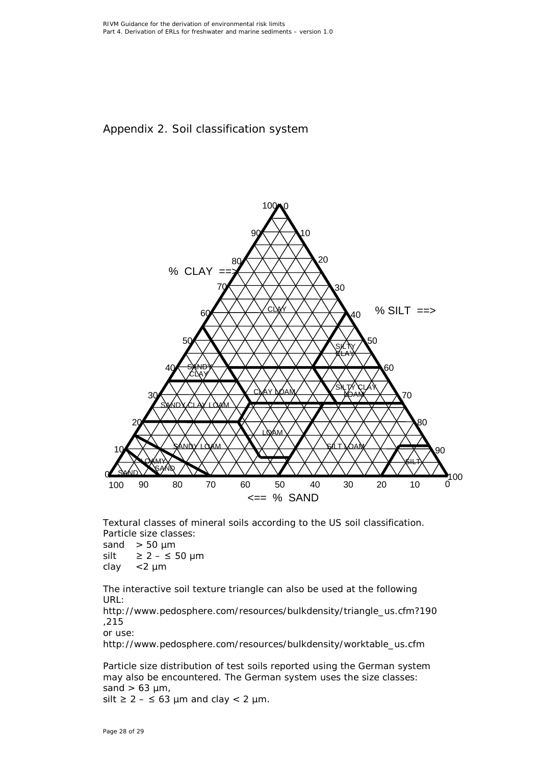# <span id="page-27-0"></span>Appendix 2. Soil classification system



Textural classes of mineral soils according to the US soil classification. Particle size classes:

sand  $>$  50  $\mu$ m silt ≥ 2 –  $\leq$  50 µm clay <2 µm

The interactive soil texture triangle can also be used at the following URL:

[http://www.pedosphere.com/resources/bulkdensity/triangle\\_us.cfm?190](http://www.pedosphere.com/resources/bulkdensity/triangle_us.cfm?190,215) [,215](http://www.pedosphere.com/resources/bulkdensity/triangle_us.cfm?190,215)

or use:

[http://www.pedosphere.com/resources/bulkdensity/worktable\\_us.cfm](http://www.pedosphere.com/resources/bulkdensity/worktable_us.cfm)

Particle size distribution of test soils reported using the German system may also be encountered. The German system uses the size classes: sand  $> 63 \mu m$ , silt  $\geq 2 - \leq 63$  µm and clay < 2 µm.